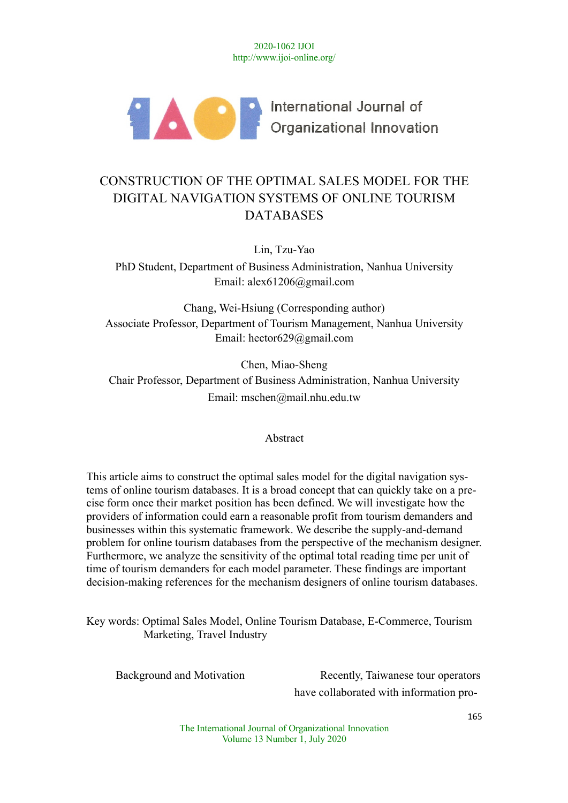

# CONSTRUCTION OF THE OPTIMAL SALES MODEL FOR THE DIGITAL NAVIGATION SYSTEMS OF ONLINE TOURISM DATABASES

Lin, Tzu-Yao

PhD Student, Department of Business Administration, Nanhua University Email: alex61206@gmail.com

Chang, Wei-Hsiung (Corresponding author) Associate Professor, Department of Tourism Management, Nanhua University Email: hector629@gmail.com

Chen, Miao-Sheng Chair Professor, Department of Business Administration, Nanhua University Email: mschen@mail.nhu.edu.tw

Abstract

This article aims to construct the optimal sales model for the digital navigation systems of online tourism databases. It is a broad concept that can quickly take on a precise form once their market position has been defined. We will investigate how the providers of information could earn a reasonable profit from tourism demanders and businesses within this systematic framework. We describe the supply-and-demand problem for online tourism databases from the perspective of the mechanism designer. Furthermore, we analyze the sensitivity of the optimal total reading time per unit of time of tourism demanders for each model parameter. These findings are important decision-making references for the mechanism designers of online tourism databases.

Key words: Optimal Sales Model, Online Tourism Database, E-Commerce, Tourism Marketing, Travel Industry

Background and Motivation Recently, Taiwanese tour operators have collaborated with information pro-

> The International Journal of Organizational Innovation Volume 13 Number 1, July 2020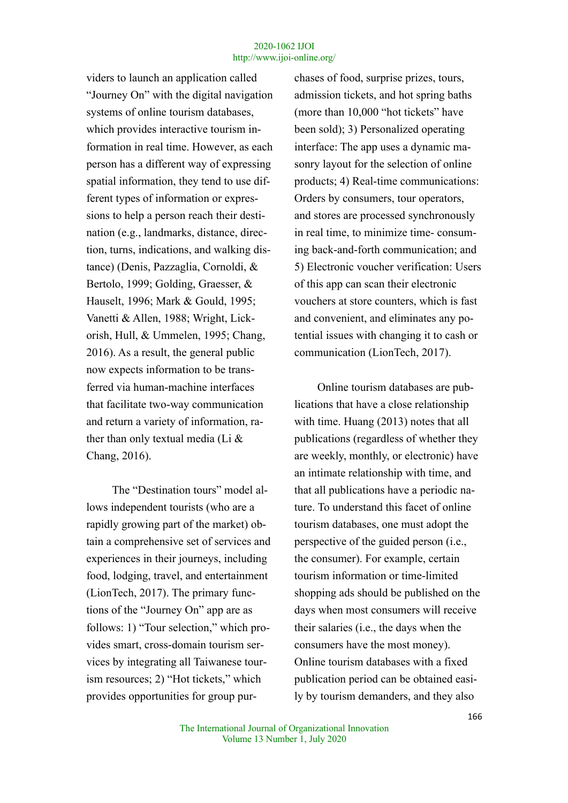viders to launch an application called "Journey On" with the digital navigation systems of online tourism databases, which provides interactive tourism information in real time. However, as each person has a different way of expressing spatial information, they tend to use different types of information or expressions to help a person reach their destination (e.g., landmarks, distance, direction, turns, indications, and walking distance) (Denis, Pazzaglia, Cornoldi, & Bertolo, 1999; Golding, Graesser, & Hauselt, 1996; Mark & Gould, 1995; Vanetti & Allen, 1988; Wright, Lickorish, Hull, & Ummelen, 1995; Chang, 2016). As a result, the general public now expects information to be transferred via human-machine interfaces that facilitate two-way communication and return a variety of information, rather than only textual media (Li & Chang, 2016).

The "Destination tours" model allows independent tourists (who are a rapidly growing part of the market) obtain a comprehensive set of services and experiences in their journeys, including food, lodging, travel, and entertainment (LionTech, 2017). The primary functions of the "Journey On" app are as follows: 1) "Tour selection," which provides smart, cross-domain tourism services by integrating all Taiwanese tourism resources; 2) "Hot tickets," which provides opportunities for group purchases of food, surprise prizes, tours, admission tickets, and hot spring baths (more than 10,000 "hot tickets" have been sold); 3) Personalized operating interface: The app uses a dynamic masonry layout for the selection of online products; 4) Real-time communications: Orders by consumers, tour operators, and stores are processed synchronously in real time, to minimize time- consuming back-and-forth communication; and 5) Electronic voucher verification: Users of this app can scan their electronic vouchers at store counters, which is fast and convenient, and eliminates any potential issues with changing it to cash or communication (LionTech, 2017).

Online tourism databases are publications that have a close relationship with time. Huang (2013) notes that all publications (regardless of whether they are weekly, monthly, or electronic) have an intimate relationship with time, and that all publications have a periodic nature. To understand this facet of online tourism databases, one must adopt the perspective of the guided person (i.e., the consumer). For example, certain tourism information or time-limited shopping ads should be published on the days when most consumers will receive their salaries (i.e., the days when the consumers have the most money). Online tourism databases with a fixed publication period can be obtained easily by tourism demanders, and they also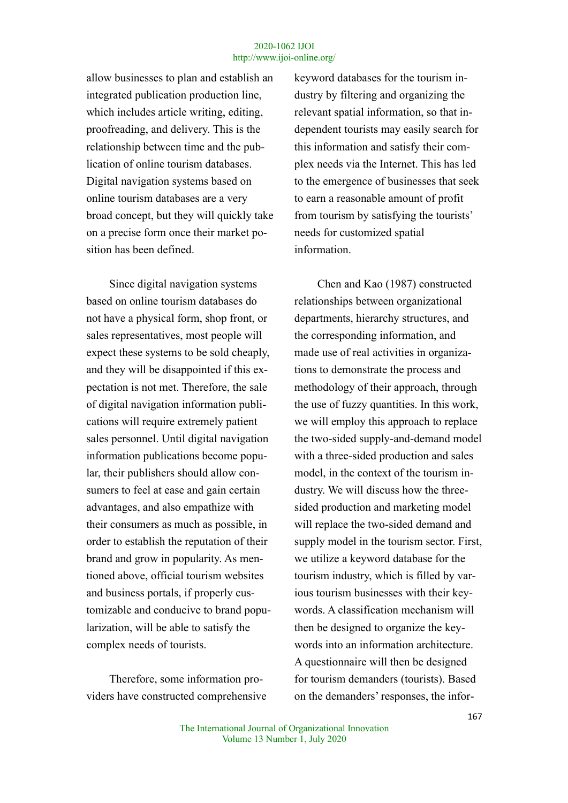allow businesses to plan and establish an integrated publication production line, which includes article writing, editing, proofreading, and delivery. This is the relationship between time and the publication of online tourism databases. Digital navigation systems based on online tourism databases are a very broad concept, but they will quickly take on a precise form once their market position has been defined.

Since digital navigation systems based on online tourism databases do not have a physical form, shop front, or sales representatives, most people will expect these systems to be sold cheaply, and they will be disappointed if this expectation is not met. Therefore, the sale of digital navigation information publications will require extremely patient sales personnel. Until digital navigation information publications become popular, their publishers should allow consumers to feel at ease and gain certain advantages, and also empathize with their consumers as much as possible, in order to establish the reputation of their brand and grow in popularity. As mentioned above, official tourism websites and business portals, if properly customizable and conducive to brand popularization, will be able to satisfy the complex needs of tourists.

Therefore, some information providers have constructed comprehensive keyword databases for the tourism industry by filtering and organizing the relevant spatial information, so that independent tourists may easily search for this information and satisfy their complex needs via the Internet. This has led to the emergence of businesses that seek to earn a reasonable amount of profit from tourism by satisfying the tourists' needs for customized spatial information.

Chen and Kao (1987) constructed relationships between organizational departments, hierarchy structures, and the corresponding information, and made use of real activities in organizations to demonstrate the process and methodology of their approach, through the use of fuzzy quantities. In this work, we will employ this approach to replace the two-sided supply-and-demand model with a three-sided production and sales model, in the context of the tourism industry. We will discuss how the threesided production and marketing model will replace the two-sided demand and supply model in the tourism sector. First, we utilize a keyword database for the tourism industry, which is filled by various tourism businesses with their keywords. A classification mechanism will then be designed to organize the keywords into an information architecture. A questionnaire will then be designed for tourism demanders (tourists). Based on the demanders' responses, the infor-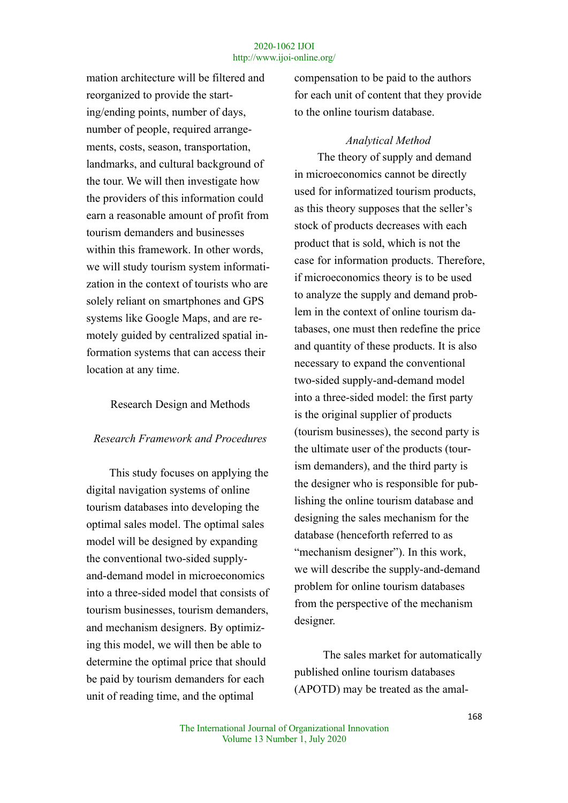mation architecture will be filtered and reorganized to provide the starting/ending points, number of days, number of people, required arrangements, costs, season, transportation, landmarks, and cultural background of the tour. We will then investigate how the providers of this information could earn a reasonable amount of profit from tourism demanders and businesses within this framework. In other words, we will study tourism system informatization in the context of tourists who are solely reliant on smartphones and GPS systems like Google Maps, and are remotely guided by centralized spatial information systems that can access their location at any time.

## Research Design and Methods

# *Research Framework and Procedures*

This study focuses on applying the digital navigation systems of online tourism databases into developing the optimal sales model. The optimal sales model will be designed by expanding the conventional two-sided supplyand-demand model in microeconomics into a three-sided model that consists of tourism businesses, tourism demanders, and mechanism designers. By optimizing this model, we will then be able to determine the optimal price that should be paid by tourism demanders for each unit of reading time, and the optimal

compensation to be paid to the authors for each unit of content that they provide to the online tourism database.

# *Analytical Method*

The theory of supply and demand in microeconomics cannot be directly used for informatized tourism products, as this theory supposes that the seller's stock of products decreases with each product that is sold, which is not the case for information products. Therefore, if microeconomics theory is to be used to analyze the supply and demand problem in the context of online tourism databases, one must then redefine the price and quantity of these products. It is also necessary to expand the conventional two-sided supply-and-demand model into a three-sided model: the first party is the original supplier of products (tourism businesses), the second party is the ultimate user of the products (tourism demanders), and the third party is the designer who is responsible for publishing the online tourism database and designing the sales mechanism for the database (henceforth referred to as "mechanism designer"). In this work, we will describe the supply-and-demand problem for online tourism databases from the perspective of the mechanism designer.

The sales market for automatically published online tourism databases (APOTD) may be treated as the amal-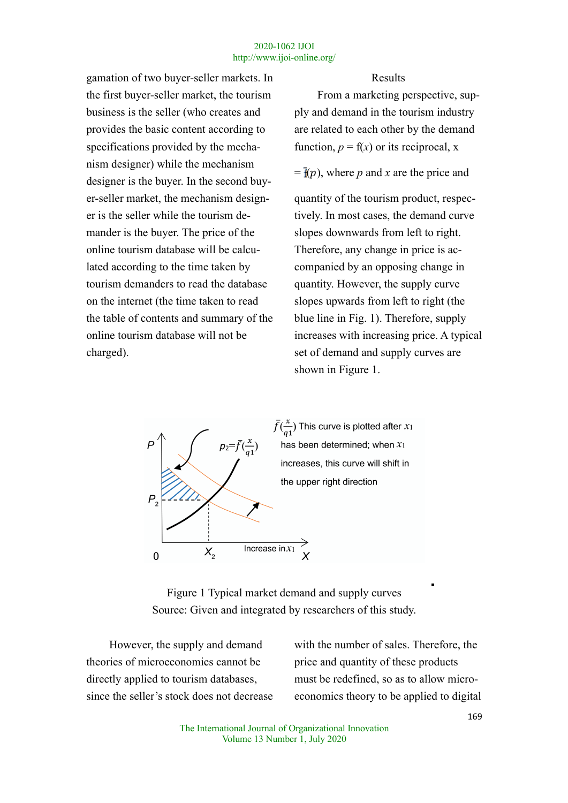gamation of two buyer-seller markets. In the first buyer-seller market, the tourism business is the seller (who creates and provides the basic content according to specifications provided by the mechanism designer) while the mechanism

designer is the buyer. In the second buyer-seller market, the mechanism design-

the table of contents and summary of the

online tourism database will not be

charged).

er is the seller while the tourism demander is the buyer. The price of the online tourism database will be calculated according to the time taken by tourism demanders to read the database on the internet (the time taken to read

Results

From a marketing perspective, supply and demand in the tourism industry are related to each other by the demand function,  $p = f(x)$  or its reciprocal, x

 $=\mathbf{\bar{f}}(p)$ , where *p* and *x* are the price and

quantity of the tourism product, respectively. In most cases, the demand curve slopes downwards from left to right. Therefore, any change in price is accompanied by an opposing change in quantity. However, the supply curve slopes upwards from left to right (the blue line in Fig. 1). Therefore, supply increases with increasing price. A typical set of demand and supply curves are shown in Figure 1.



Figure 1 Typical market demand and supply curves Source: Given and integrated by researchers of this study.

However, the supply and demand theories of microeconomics cannot be directly applied to tourism databases, since the seller's stock does not decrease with the number of sales. Therefore, the price and quantity of these products must be redefined, so as to allow microeconomics theory to be applied to digital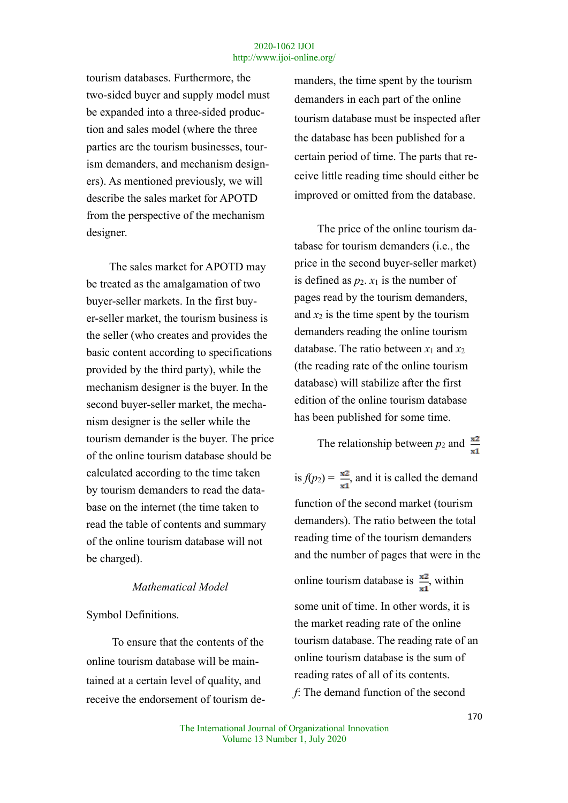tourism databases. Furthermore, the two-sided buyer and supply model must be expanded into a three-sided production and sales model (where the three parties are the tourism businesses, tourism demanders, and mechanism designers). As mentioned previously, we will describe the sales market for APOTD from the perspective of the mechanism designer.

The sales market for APOTD may be treated as the amalgamation of two buyer-seller markets. In the first buyer-seller market, the tourism business is the seller (who creates and provides the basic content according to specifications provided by the third party), while the mechanism designer is the buyer. In the second buyer-seller market, the mechanism designer is the seller while the tourism demander is the buyer. The price of the online tourism database should be calculated according to the time taken by tourism demanders to read the database on the internet (the time taken to read the table of contents and summary of the online tourism database will not be charged).

# *Mathematical Model*

## Symbol Definitions.

To ensure that the contents of the online tourism database will be maintained at a certain level of quality, and receive the endorsement of tourism demanders, the time spent by the tourism demanders in each part of the online tourism database must be inspected after the database has been published for a certain period of time. The parts that receive little reading time should either be improved or omitted from the database.

The price of the online tourism database for tourism demanders (i.e., the price in the second buyer-seller market) is defined as  $p_2$ .  $x_1$  is the number of pages read by the tourism demanders, and  $x_2$  is the time spent by the tourism demanders reading the online tourism database. The ratio between  $x_1$  and  $x_2$ (the reading rate of the online tourism database) will stabilize after the first edition of the online tourism database has been published for some time.

The relationship between  $p_2$  and  $\frac{\mathbf{x}^2}{\mathbf{x}^2}$ 

is  $f(p_2) = \frac{\pi^2}{\pi^2}$ , and it is called the demand function of the second market (tourism demanders). The ratio between the total reading time of the tourism demanders and the number of pages that were in the online tourism database is  $\frac{x^2}{x!}$ , within some unit of time. In other words, it is the market reading rate of the online tourism database. The reading rate of an online tourism database is the sum of reading rates of all of its contents. *f*: The demand function of the second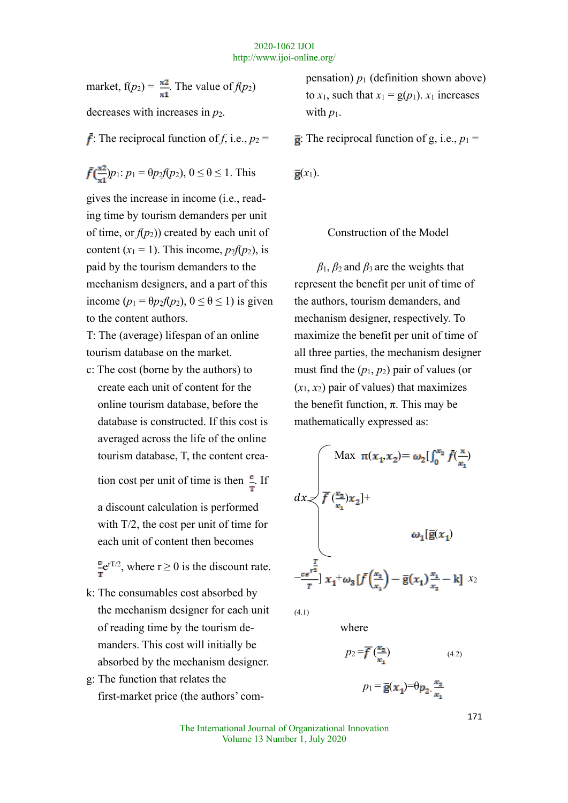market,  $f(p_2) = \frac{x^2}{x^4}$ . The value of  $f(p_2)$ decreases with increases in *p*<sub>2</sub>.

 $\vec{f}$ : The reciprocal function of *f*, i.e.,  $p_2 =$ 

$$
\bar{f}(\frac{\mathbf{x}^2}{\mathbf{x}^1})p_1: p_1 = \theta p_2 f(p_2), 0 \le \theta \le 1.
$$
 This

gives the increase in income (i.e., reading time by tourism demanders per unit of time, or  $f(p_2)$ ) created by each unit of content  $(x_1 = 1)$ . This income,  $p_2f(p_2)$ , is paid by the tourism demanders to the mechanism designers, and a part of this income  $(p_1 = \theta p_2 f(p_2), 0 \le \theta \le 1)$  is given to the content authors.

T: The (average) lifespan of an online tourism database on the market.

c: The cost (borne by the authors) to create each unit of content for the online tourism database, before the database is constructed. If this cost is averaged across the life of the online tourism database, T, the content crea-

tion cost per unit of time is then  $\frac{e}{r}$ . If

a discount calculation is performed with T/2, the cost per unit of time for each unit of content then becomes

 $\mathbf{e}^{\mathbf{r}T/2}$ , where  $r \geq 0$  is the discount rate.

- k: The consumables cost absorbed by the mechanism designer for each unit of reading time by the tourism demanders. This cost will initially be absorbed by the mechanism designer.
- g: The function that relates the first-market price (the authors' com-

pensation)  $p_1$  (definition shown above) to  $x_1$ , such that  $x_1 = g(p_1)$ .  $x_1$  increases with  $p_1$ .

 $\overline{g}$ : The reciprocal function of g, i.e.,  $p_1 =$ 

 $\bar{g}(x_1)$ .

### Construction of the Model

*β*1, *β*2 and *β*3 are the weights that represent the benefit per unit of time of the authors, tourism demanders, and mechanism designer, respectively. To maximize the benefit per unit of time of all three parties, the mechanism designer must find the (*p*1, *p*2) pair of values (or  $(x_1, x_2)$  pair of values) that maximizes the benefit function,  $π$ . This may be mathematically expressed as:

$$
dx \leq \begin{cases} \text{Max } \pi(x_1, x_2) = \omega_2 \left[ \int_0^{x_2} \bar{f}(\frac{x}{x_1}) \right] \\ \bar{f}(\frac{x_2}{x_1}) x_2 \right] + \\ \omega_1 \left[ \bar{g}(x_1) \right] \\ -\frac{\sum\limits_{\substack{e \in \mathbb{F}^2}}}{T} \left[ x_1 + \omega_3 \left[ \bar{f}(\frac{x_2}{x_1}) - \bar{g}(x_1) \frac{x_1}{x_2} - k \right] \right] x_2 \end{cases}
$$

(4.1)

where

$$
p_2 = \overline{f}\left(\frac{x_2}{x_1}\right) \tag{4.2}
$$

$$
p_1 = \overline{\mathbf{g}}(\mathbf{x}_1) = \theta p_2 \cdot \frac{\mathbf{x}_2}{\mathbf{x}_1}
$$

The International Journal of Organizational Innovation Volume 13 Number 1, July 2020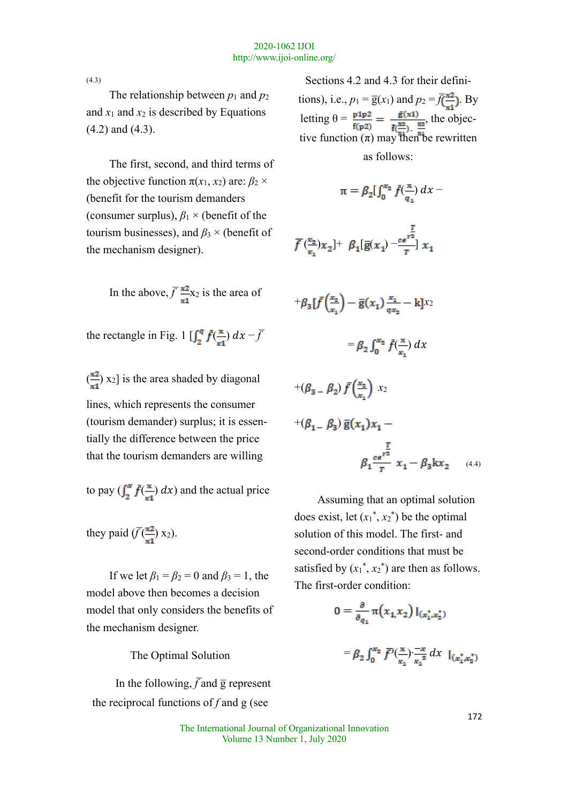(4.3)

The relationship between  $p_1$  and  $p_2$ and  $x_1$  and  $x_2$  is described by Equations (4.2) and (4.3).

The first, second, and third terms of the objective function  $\pi(x_1, x_2)$  are:  $\beta_2 \times$ (benefit for the tourism demanders (consumer surplus),  $\beta_1 \times$  (benefit of the tourism businesses), and  $\beta_3 \times$  (benefit of the mechanism designer).

In the above, 
$$
\overline{f} \frac{x \cdot x}{x1}
$$
 is the area of

the rectangle in Fig. 1  $\left[\int_{2}^{q} \bar{f}(\frac{x}{m}) dx - \bar{f}\right]$ 

 $\left(\frac{\pi}{\epsilon}\right)$  x<sub>2</sub>] is the area shaded by diagonal lines, which represents the consumer (tourism demander) surplus; it is essentially the difference between the price that the tourism demanders are willing

to pay  $\left(\int_{2}^{x} \bar{f}(\frac{x}{\epsilon}) dx\right)$  and the actual price

they paid  $(\overline{f}(\frac{x2}{x1})$  x<sub>2</sub>).

If we let  $\beta_1 = \beta_2 = 0$  and  $\beta_3 = 1$ , the model above then becomes a decision model that only considers the benefits of the mechanism designer.

The Optimal Solution

In the following,  $\overline{f}$  and  $\overline{g}$  represent the reciprocal functions of *f* and g (see

Sections 4.2 and 4.3 for their definitions), i.e.,  $p_1 = \overline{g}(x_1)$  and  $p_2 = \overline{f}(\frac{x_2}{x_1})$ . By letting  $\theta = \frac{p_1 p_2}{r} = \frac{g(x_1)}{-x_1}$ , the objective function  $(\pi)$  may then be rewritten as follows:

$$
\pi = \beta_2 \left[ \int_0^{x_2} \bar{f}(\frac{x}{q_1}) \, dx - \right]
$$

$$
\overline{f}(\frac{x_2}{x_1})x_2] + \beta_1[\overline{g}(x_1) - \frac{e^{-\frac{T}{x_2}}}{T}]x_1
$$

$$
+\beta_3 \left[\bar{f}\left(\frac{x_2}{x_1}\right) - \bar{g}(x_1)\frac{x_1}{\alpha x_2} - k\right]x_2
$$

$$
=\beta_2 \int_0^{x_2} \bar{f}\left(\frac{x}{x_1}\right) dx
$$

$$
+(\beta_3 - \beta_2) \bar{f}\left(\frac{x_2}{x_1}\right) x_2
$$
  
+
$$
(\beta_1 - \beta_3) \bar{g}(x_1) x_1 - \beta_2 \frac{r}{r} \bar{x}_1 - \beta_3 k x_2
$$
 (4.4)

Assuming that an optimal solution does exist, let  $(x_1^*, x_2^*)$  be the optimal solution of this model. The first- and second-order conditions that must be satisfied by  $(x_1^*, x_2^*)$  are then as follows. The first-order condition:

$$
0=\frac{\partial}{\partial_{q_1}}\pi\big(x_{1\!,}x_2\big)\,I_{(x_1^*,x_2^*)}
$$

$$
= \beta_2 \int_0^{x_2} \overline{f'(\frac{x}{x_1})} \cdot \frac{-x}{x_1^2} dx \, |_{(x_1^*, x_2^*)}
$$

The International Journal of Organizational Innovation Volume 13 Number 1, July 2020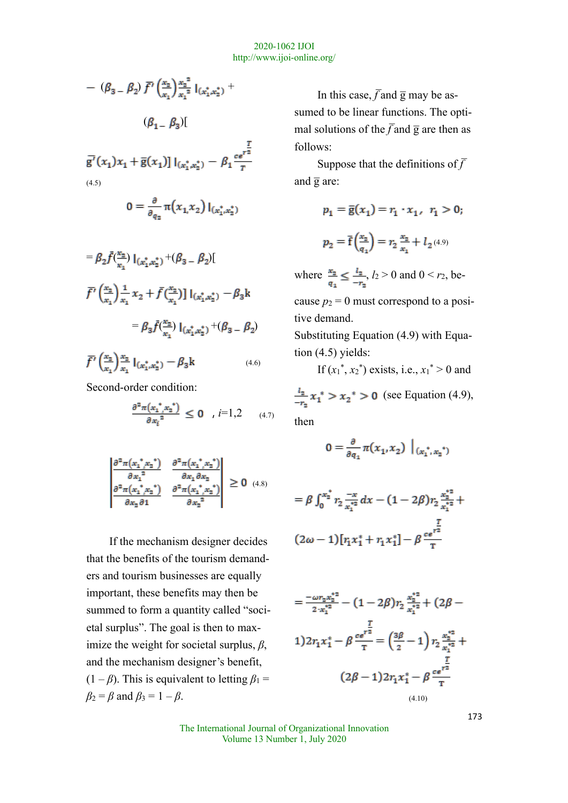$$
- (\beta_3 - \beta_2) \bar{f}' \left(\frac{x_2}{x_1}\right) \frac{x_2^2}{x_1^2} I_{(x_1^*, x_2^*)} +
$$

 $(\beta_1 - \beta_3)$ 

$$
\bar{g'}(x_1)x_1 + \bar{g}(x_1) \, |_{(x_1^*, x_2^*)} - \beta_1 \frac{\bar{g}}{r}
$$

(4.5)

$$
0 = \frac{\partial}{\partial_{q_3}} \pi(x_1, x_2) \, I_{(x_1^*, x_2^*)}
$$

$$
= \beta_2 \bar{f}(\frac{x_2}{x_1}) \Big|_{(x_1^*, x_2^*)} + (\beta_3 - \beta_2) \Big|
$$
  

$$
\bar{f}'(\frac{x_2}{x_1}) \frac{1}{x_1} x_2 + \bar{f}(\frac{x_2}{x_1}) \Big|_{(x_1^*, x_2^*)} - \beta_3 k
$$
  

$$
= \beta_3 \bar{f}(\frac{x_2}{x_1}) \Big|_{(x_1^*, x_2^*)} + (\beta_3 - \beta_2)
$$
  

$$
\bar{f}'(\frac{x_2}{x_1}) \frac{x_2}{x_1} \Big|_{(x_1^*, x_2^*)} - \beta_3 k
$$
 (4.6)

Second-order condition:

$$
\frac{\partial^2 \pi (x_1^* x_2^*)}{\partial x_i^2} \le 0 \quad , \ i=1,2 \qquad (4.7)
$$

$$
\left| \frac{\frac{\partial^2 \pi (x_1^*, x_2^*)}{\partial x_1^2} \cdot \frac{\partial^2 \pi (x_1^*, x_2^*)}{\partial x_1 \partial x_2}}{\frac{\partial^2 \pi (x_1^*, x_2^*)}{\partial x_2 \partial 1}} \right| \ge 0 \quad (4.8)
$$

If the mechanism designer decides that the benefits of the tourism demanders and tourism businesses are equally important, these benefits may then be summed to form a quantity called "societal surplus". The goal is then to maximize the weight for societal surplus, *β*, and the mechanism designer's benefit,  $(1 - \beta)$ . This is equivalent to letting  $\beta_1 =$  $\beta_2 = \beta$  and  $\beta_3 = 1 - \beta$ .

In this case,  $\overline{f}$  and  $\overline{g}$  may be assumed to be linear functions. The optimal solutions of the  $\overline{f}$  and  $\overline{g}$  are then as follows:

Suppose that the definitions of  $\overline{f}$ and  $\overline{g}$  are:

$$
\begin{array}{l} p_1 = \overline{\mathrm{g}}(x_1) = r_1 \cdot x_1, \;\; r_1 > 0; \\ \\ p_2 = \overline{\mathrm{f}}\Big(\frac{x_2}{q_1}\Big) = r_2 \, \frac{x_2}{x_1} + \, l_2 \text{\tiny (4.9)} \end{array}
$$

where  $\frac{x_2}{x_1} \le \frac{l_2}{-r_2}$ ,  $l_2 > 0$  and  $0 < r_2$ , be-

cause  $p_2 = 0$  must correspond to a positive demand.

Substituting Equation (4.9) with Equation (4.5) yields:

If  $(x_1^*, x_2^*)$  exists, i.e.,  $x_1^* > 0$  and

 $\frac{l_2}{-r_0}x_1^*$  >  $x_2^*$  > 0 (see Equation (4.9), then

$$
0 = \frac{\partial}{\partial q_1} \pi(x_1, x_2) \big|_{(x_1^*, x_2^*)}
$$

$$
= \beta \int_0^{x_2^*} r_2 \frac{-x}{x_1^{*2}} dx - (1 - 2\beta) r_2 \frac{x_2^{*2}}{x_1^{*2}} +
$$
  

$$
(2\omega - 1) [r_1 x_1^* + r_1 x_1^*] - \beta \frac{r}{T}
$$

$$
=\frac{-\omega r_2 x_2^{*2}}{2 \cdot x_1^{*2}} - (1 - 2\beta) r_2 \frac{x_2^{*2}}{x_1^{*2}} + (2\beta - 1) 2r_1 x_1^* - \beta \frac{r^2}{r} = \left(\frac{3\beta}{2} - 1\right) r_2 \frac{x_2^{*2}}{x_1^{*2}} + \frac{r}{2}
$$

$$
(2\beta - 1) 2r_1 x_1^* - \beta \frac{r^2}{r}
$$

$$
(4.10)
$$

The International Journal of Organizational Innovation Volume 13 Number 1, July 2020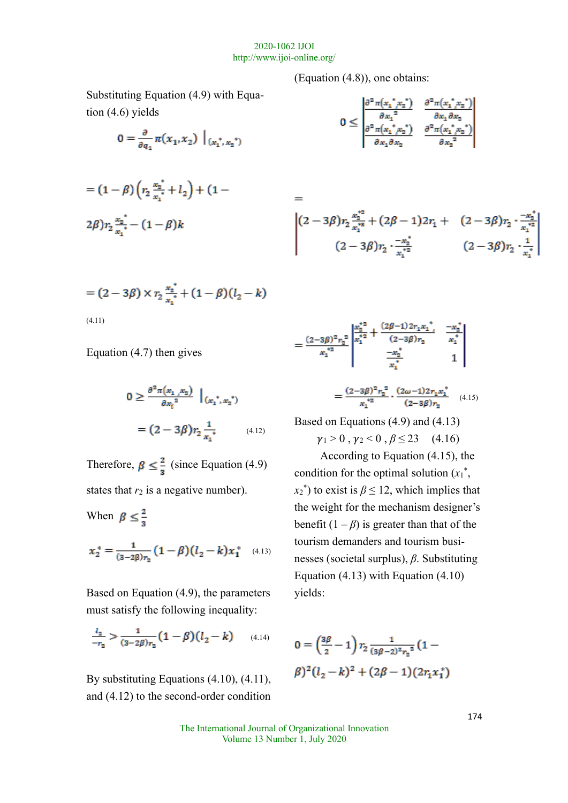$=$ 

Substituting Equation (4.9) with Equation (4.6) yields

$$
0 = \frac{\partial}{\partial q_1} \pi(x_1, x_2) \big|_{(x_1^*, x_2^*)}
$$

$$
= (1 - \beta) \left( r_2 \frac{x_n^*}{x_1^*} + l_2 \right) + (1 -
$$
  
2\beta)  $r_2 \frac{x_n^*}{x_1^*} - (1 - \beta)k$ 

$$
= (2 - 3\beta) \times r_2 \frac{x_2^*}{x_1^*} + (1 - \beta)(l_2 - k)
$$
\n(4.11)

Equation (4.7) then gives

$$
0 \ge \frac{\partial^2 \pi (x_1, x_2)}{\partial x_i^2} \Big|_{(x_1^*, x_2^*)}
$$
  
=  $(2 - 3\beta) r_2 \frac{1}{x_1^*}$  (4.12)

Therefore,  $\beta \leq \frac{2}{3}$  (since Equation (4.9) states that  $r_2$  is a negative number).

When  $\beta \leq \frac{2}{3}$ 

$$
x_2^* = \frac{1}{(3-2\beta)r_2} (1-\beta)(l_2 - k)x_1^*
$$
 (4.13)

Based on Equation (4.9), the parameters must satisfy the following inequality:

$$
\frac{l_2}{-r_2} > \frac{1}{(3-2\beta)r_2} (1-\beta)(l_2-k) \qquad (4.14)
$$

By substituting Equations (4.10), (4.11), and (4.12) to the second-order condition (Equation (4.8)), one obtains:

$$
0 \leq \begin{vmatrix} \frac{\partial^2 \pi (x_1^*, x_2^*)}{\partial x_1^2} & \frac{\partial^2 \pi (x_1^*, x_2^*)}{\partial x_1 \partial x_2} \\ \frac{\partial^2 \pi (x_1^*, x_2^*)}{\partial x_1 \partial x_2} & \frac{\partial^2 \pi (x_1^*, x_2^*)}{\partial x_2^2} \end{vmatrix}
$$

$$
\begin{vmatrix} (2-3\beta)r_2\frac{x_2^{*2}}{x_1^{*2}} + (2\beta-1)2r_1 + (2-3\beta)r_2 \cdot \frac{-x_2^{*}}{x_1^{*2}} \\ (2-3\beta)r_2 \cdot \frac{-x_2^{*}}{x_1^{*2}} & (2-3\beta)r_2 \cdot \frac{1}{x_1^{*}} \end{vmatrix}
$$

$$
=\frac{(2-3\beta)^2 r_2^2}{x_1^{\frac{q_2}{2}}}\begin{vmatrix} \frac{x_2^{*2}}{s_2} + \frac{(2\beta-1)2r_1x_1^{\frac{q_2}{2}}}{(2-3\beta)r_2} & \frac{-x_2^{\frac{q_2}{2}}}{x_1^{\frac{q_2}{2}}}\\ \frac{-x_2^{\frac{q_2}{2}}}{x_1^{\frac{q_2}{2}}} & 1 \end{vmatrix}
$$

$$
=\frac{(2-3\beta)^2 r_2^2}{x_1^{*2}} \cdot \frac{(2\omega - 1)2r_1x_1^*}{(2-3\beta)r_2}
$$
 (4.15)

Based on Equations (4.9) and (4.13)  $\gamma_1 > 0$ ,  $\gamma_2 < 0$ ,  $\beta \le 23$  (4.16)

According to Equation (4.15), the condition for the optimal solution  $(x_1^*,$  $x_2^*$ ) to exist is  $\beta \leq 12$ , which implies that the weight for the mechanism designer's benefit  $(1 - \beta)$  is greater than that of the tourism demanders and tourism businesses (societal surplus), *β*. Substituting Equation (4.13) with Equation (4.10) yields:

$$
0 = \left(\frac{3\beta}{2} - 1\right) r_2 \frac{1}{(3\beta - 2)^2 r_2^2} (1 - \beta)^2 (l_2 - k)^2 + (2\beta - 1)(2r_1x_1^*)
$$

The International Journal of Organizational Innovation Volume 13 Number 1, July 2020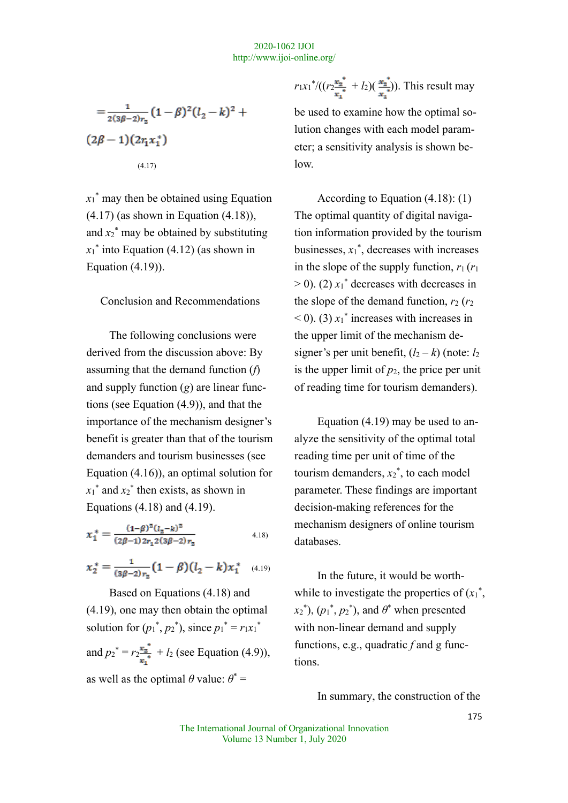$$
=\frac{1}{2(3\beta-2)r_2}(1-\beta)^2(l_2-k)^2+\\(2\beta-1)(2r_1x_1^*)
$$
\n(4.17)

 $x_1$ <sup>\*</sup> may then be obtained using Equation (4.17) (as shown in Equation (4.18)), and  $x_2$ <sup>\*</sup> may be obtained by substituting  $x_1^*$  into Equation (4.12) (as shown in Equation (4.19)).

Conclusion and Recommendations

The following conclusions were derived from the discussion above: By assuming that the demand function (*f*) and supply function (*g*) are linear functions (see Equation (4.9)), and that the importance of the mechanism designer's benefit is greater than that of the tourism demanders and tourism businesses (see Equation (4.16)), an optimal solution for  $x_1$ <sup>\*</sup> and  $x_2$ <sup>\*</sup> then exists, as shown in Equations (4.18) and (4.19).

$$
x_1^* = \frac{(1-\beta)^2 (l_2 - k)^2}{(2\beta - 1) 2r_1 2(3\beta - 2)r_2}
$$
 (4.18)

$$
x_2^* = \frac{1}{(3\beta - 2)r_2} (1 - \beta)(l_2 - k)x_1^*
$$
 (4.19)

 Based on Equations (4.18) and (4.19), one may then obtain the optimal solution for  $(p_1^*, p_2^*)$ , since  $p_1^* = r_1x_1^*$ and  $p_2^* = r_2^{\frac{\pi}{2}} + l_2$  (see Equation (4.9)), as well as the optimal  $\theta$  value:  $\theta^*$  =

 $r_1x_1^*/((r_2^{\frac{\pi_2}{•}} + l_2)(\frac{\pi_2}{•}))$ . This result may

be used to examine how the optimal solution changes with each model parameter; a sensitivity analysis is shown below.

According to Equation (4.18): (1) The optimal quantity of digital navigation information provided by the tourism businesses,  $x_1^*$ , decreases with increases in the slope of the supply function,  $r_1$  ( $r_1$ )  $> 0$ ). (2)  $x_1^*$  decreases with decreases in the slope of the demand function,  $r_2$  ( $r_2$ )  $(0)$ . (3)  $x_1$ <sup>\*</sup> increases with increases in the upper limit of the mechanism designer's per unit benefit,  $(l_2 - k)$  (note:  $l_2$ ) is the upper limit of  $p_2$ , the price per unit of reading time for tourism demanders).

Equation (4.19) may be used to analyze the sensitivity of the optimal total reading time per unit of time of the tourism demanders,  $x_2^*$ , to each model parameter. These findings are important decision-making references for the mechanism designers of online tourism databases.

In the future, it would be worthwhile to investigate the properties of  $(x_1^*$ ,  $(x_2^*), (p_1^*, p_2^*)$ , and  $\theta^*$  when presented with non-linear demand and supply functions, e.g., quadratic *f* and g functions.

In summary, the construction of the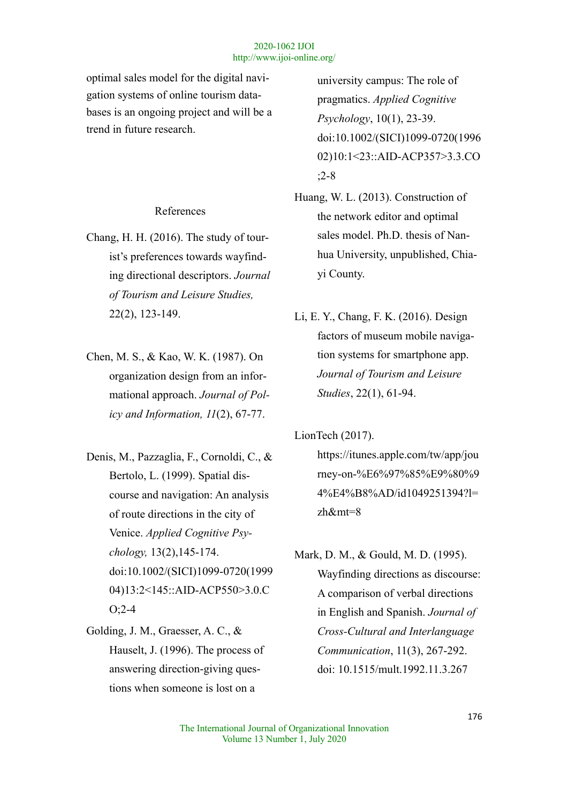optimal sales model for the digital navigation systems of online tourism databases is an ongoing project and will be a trend in future research.

## References

- Chang, H. H. (2016). The study of tourist's preferences towards wayfinding directional descriptors. *Journal of Tourism and Leisure Studies,*  22(2), 123-149.
- Chen, M. S., & Kao, W. K. (1987). On organization design from an informational approach. *Journal of Policy and Information, 11*(2), 67-77.
- Denis, M., Pazzaglia, F., Cornoldi, C., & Bertolo, L. (1999). Spatial discourse and navigation: An analysis of route directions in the city of Venice. *Applied Cognitive Psychology,* 13(2),145-174. doi:10.1002/(SICI)1099-0720(1999 04)13:2<145::AID-ACP550>3.0.C O;2-4
- Golding, J. M., Graesser, A. C., & Hauselt, J. (1996). The process of answering direction-giving questions when someone is lost on a

university campus: The role of pragmatics. *Applied Cognitive Psychology*, 10(1), 23-39. doi:10.1002/(SICI)1099-0720(1996 02)10:1<23::AID-ACP357>3.3.CO ;2-8

- Huang, W. L. (2013). Construction of the network editor and optimal sales model. Ph.D. thesis of Nanhua University, unpublished, Chiayi County.
- Li, E. Y., Chang, F. K. (2016). Design factors of museum mobile navigation systems for smartphone app. *Journal of Tourism and Leisure Studies*, 22(1), 61-94.

LionTech (2017).

https://itunes.apple.com/tw/app/jou rney-on-%E6%97%85%E9%80%9 4%E4%B8%AD/id1049251394?l= zh&mt=8

Mark, D. M., & Gould, M. D. (1995). Wayfinding directions as discourse: A comparison of verbal directions in English and Spanish. *Journal of Cross-Cultural and Interlanguage Communication*, 11(3), 267-292. doi: 10.1515/mult.1992.11.3.267